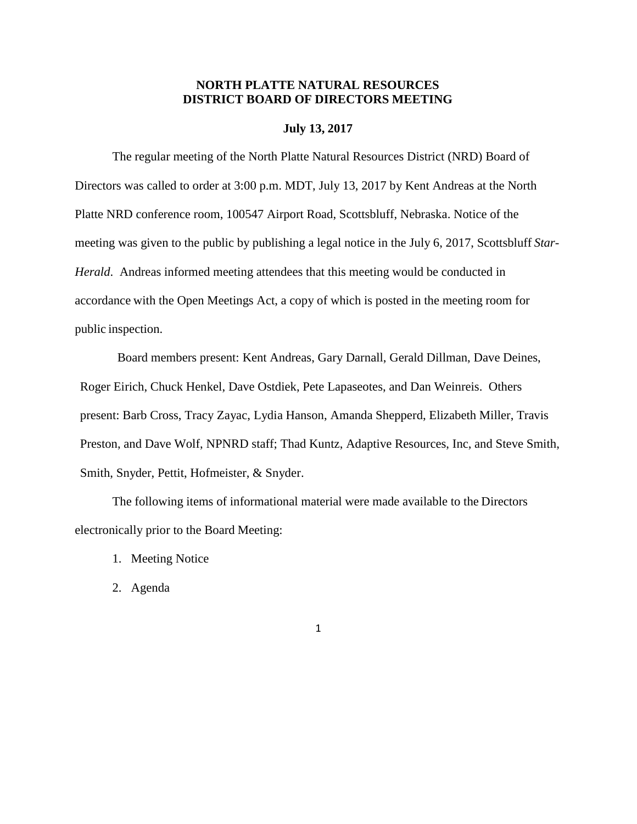### **NORTH PLATTE NATURAL RESOURCES DISTRICT BOARD OF DIRECTORS MEETING**

#### **July 13, 2017**

The regular meeting of the North Platte Natural Resources District (NRD) Board of Directors was called to order at 3:00 p.m. MDT, July 13, 2017 by Kent Andreas at the North Platte NRD conference room, 100547 Airport Road, Scottsbluff, Nebraska. Notice of the meeting was given to the public by publishing a legal notice in the July 6, 2017, Scottsbluff *Star-Herald*. Andreas informed meeting attendees that this meeting would be conducted in accordance with the Open Meetings Act, a copy of which is posted in the meeting room for public inspection.

Board members present: Kent Andreas, Gary Darnall, Gerald Dillman, Dave Deines, Roger Eirich, Chuck Henkel, Dave Ostdiek, Pete Lapaseotes, and Dan Weinreis. Others present: Barb Cross, Tracy Zayac, Lydia Hanson, Amanda Shepperd, Elizabeth Miller, Travis Preston, and Dave Wolf, NPNRD staff; Thad Kuntz, Adaptive Resources, Inc, and Steve Smith, Smith, Snyder, Pettit, Hofmeister, & Snyder.

The following items of informational material were made available to the Directors electronically prior to the Board Meeting:

- 1. Meeting Notice
- 2. Agenda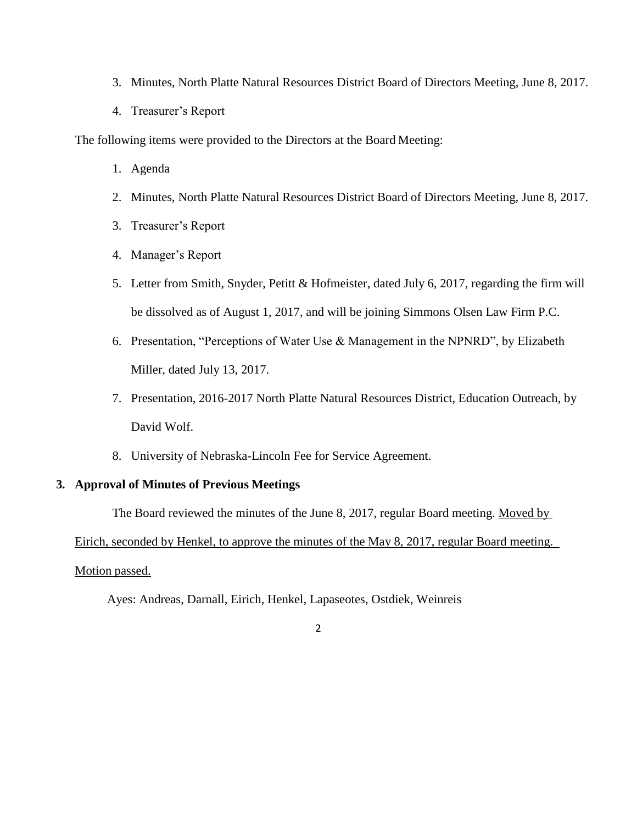- 3. Minutes, North Platte Natural Resources District Board of Directors Meeting, June 8, 2017.
- 4. Treasurer's Report

The following items were provided to the Directors at the Board Meeting:

- 1. Agenda
- 2. Minutes, North Platte Natural Resources District Board of Directors Meeting, June 8, 2017.
- 3. Treasurer's Report
- 4. Manager's Report
- 5. Letter from Smith, Snyder, Petitt & Hofmeister, dated July 6, 2017, regarding the firm will be dissolved as of August 1, 2017, and will be joining Simmons Olsen Law Firm P.C.
- 6. Presentation, "Perceptions of Water Use & Management in the NPNRD", by Elizabeth Miller, dated July 13, 2017.
- 7. Presentation, 2016-2017 North Platte Natural Resources District, Education Outreach, by David Wolf.
- 8. University of Nebraska-Lincoln Fee for Service Agreement.

### **3. Approval of Minutes of Previous Meetings**

The Board reviewed the minutes of the June 8, 2017, regular Board meeting. Moved by

Eirich, seconded by Henkel, to approve the minutes of the May 8, 2017, regular Board meeting.

#### Motion passed.

Ayes: Andreas, Darnall, Eirich, Henkel, Lapaseotes, Ostdiek, Weinreis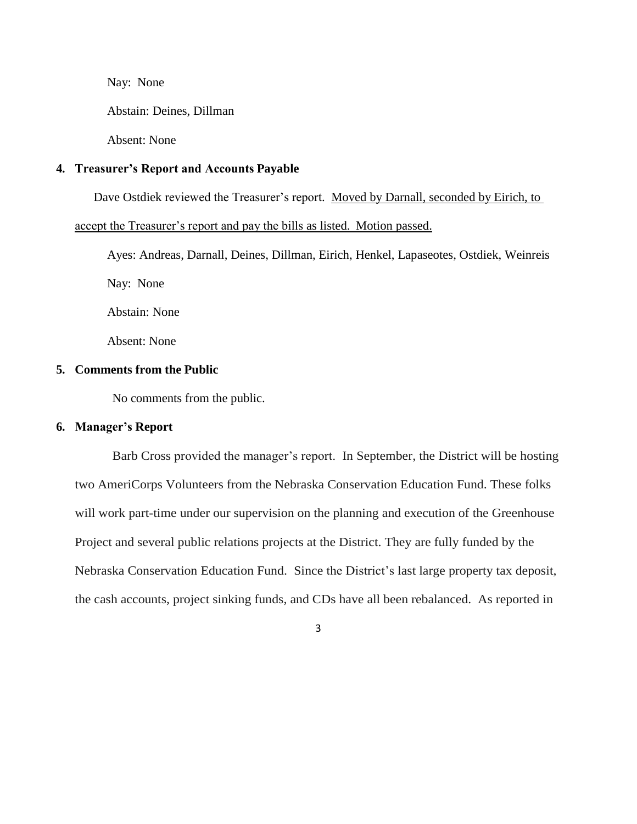Nay: None

Abstain: Deines, Dillman

Absent: None

#### **4. Treasurer's Report and Accounts Payable**

Dave Ostdiek reviewed the Treasurer's report. Moved by Darnall, seconded by Eirich, to

accept the Treasurer's report and pay the bills as listed. Motion passed.

Ayes: Andreas, Darnall, Deines, Dillman, Eirich, Henkel, Lapaseotes, Ostdiek, Weinreis

Nay: None

Abstain: None

Absent: None

#### **5. Comments from the Public**

No comments from the public.

#### **6. Manager's Report**

Barb Cross provided the manager's report. In September, the District will be hosting two AmeriCorps Volunteers from the Nebraska Conservation Education Fund. These folks will work part-time under our supervision on the planning and execution of the Greenhouse Project and several public relations projects at the District. They are fully funded by the Nebraska Conservation Education Fund. Since the District's last large property tax deposit, the cash accounts, project sinking funds, and CDs have all been rebalanced. As reported in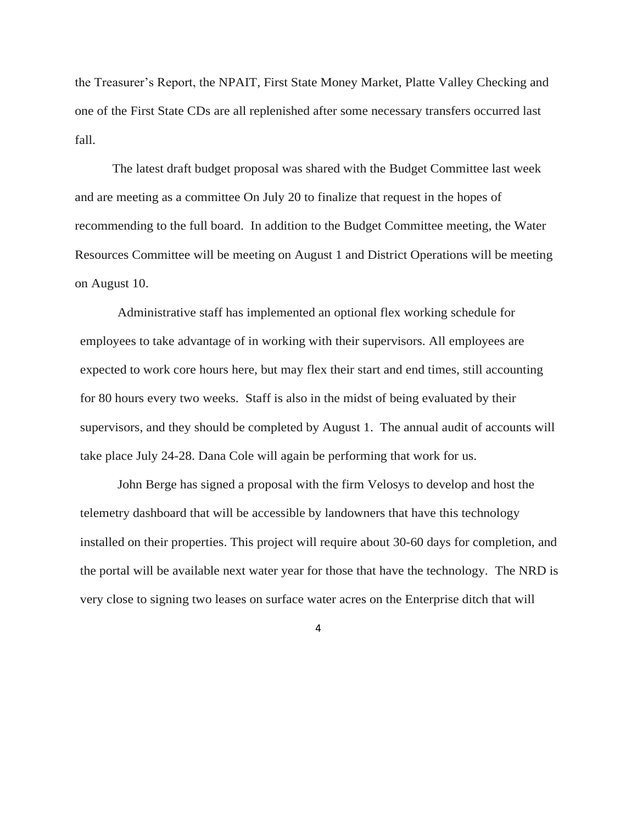the Treasurer's Report, the NPAIT, First State Money Market, Platte Valley Checking and one of the First State CDs are all replenished after some necessary transfers occurred last fall.

The latest draft budget proposal was shared with the Budget Committee last week and are meeting as a committee On July 20 to finalize that request in the hopes of recommending to the full board. In addition to the Budget Committee meeting, the Water Resources Committee will be meeting on August 1 and District Operations will be meeting on August 10.

Administrative staff has implemented an optional flex working schedule for employees to take advantage of in working with their supervisors. All employees are expected to work core hours here, but may flex their start and end times, still accounting for 80 hours every two weeks. Staff is also in the midst of being evaluated by their supervisors, and they should be completed by August 1. The annual audit of accounts will take place July 24-28. Dana Cole will again be performing that work for us.

John Berge has signed a proposal with the firm Velosys to develop and host the telemetry dashboard that will be accessible by landowners that have this technology installed on their properties. This project will require about 30-60 days for completion, and the portal will be available next water year for those that have the technology. The NRD is very close to signing two leases on surface water acres on the Enterprise ditch that will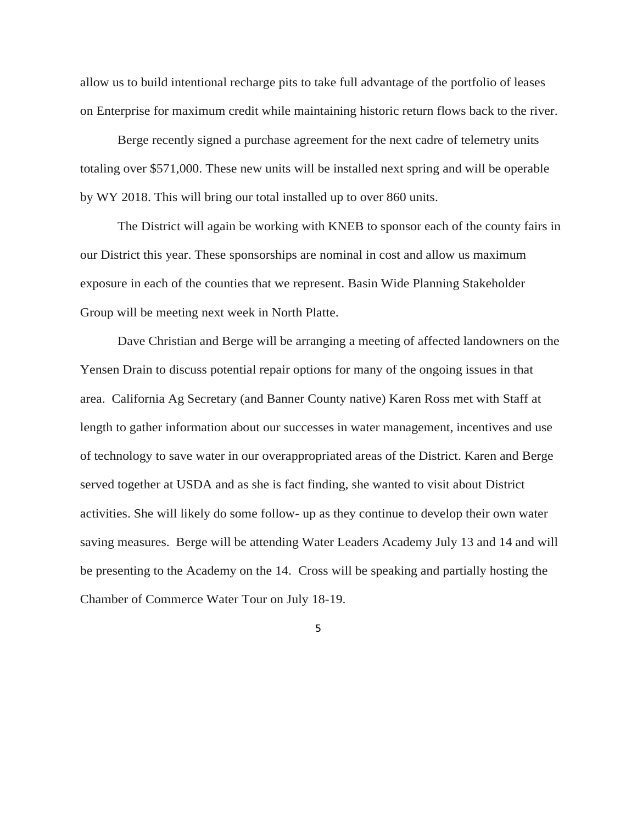allow us to build intentional recharge pits to take full advantage of the portfolio of leases on Enterprise for maximum credit while maintaining historic return flows back to the river.

Berge recently signed a purchase agreement for the next cadre of telemetry units totaling over \$571,000. These new units will be installed next spring and will be operable by WY 2018. This will bring our total installed up to over 860 units.

The District will again be working with KNEB to sponsor each of the county fairs in our District this year. These sponsorships are nominal in cost and allow us maximum exposure in each of the counties that we represent. Basin Wide Planning Stakeholder Group will be meeting next week in North Platte.

Dave Christian and Berge will be arranging a meeting of affected landowners on the Yensen Drain to discuss potential repair options for many of the ongoing issues in that area. California Ag Secretary (and Banner County native) Karen Ross met with Staff at length to gather information about our successes in water management, incentives and use of technology to save water in our overappropriated areas of the District. Karen and Berge served together at USDA and as she is fact finding, she wanted to visit about District activities. She will likely do some follow- up as they continue to develop their own water saving measures. Berge will be attending Water Leaders Academy July 13 and 14 and will be presenting to the Academy on the 14. Cross will be speaking and partially hosting the Chamber of Commerce Water Tour on July 18-19.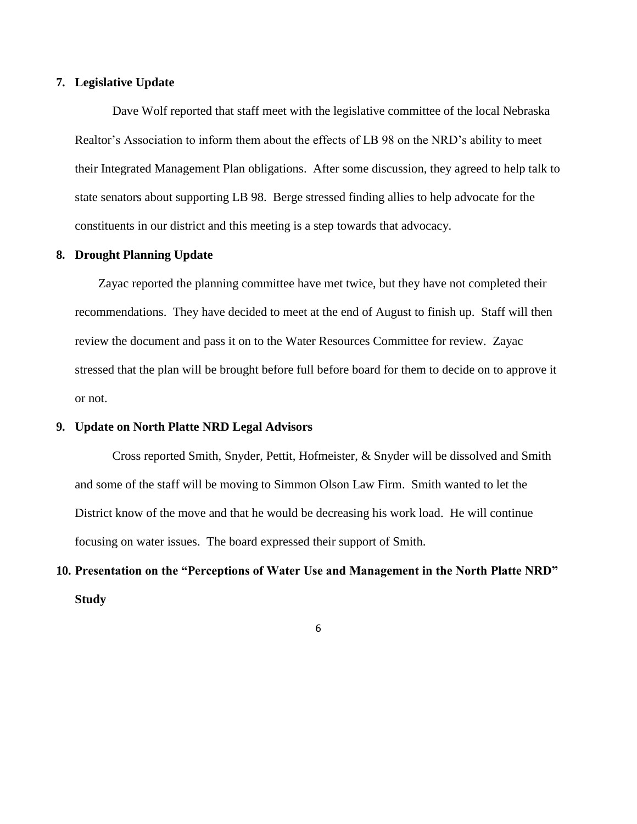#### **7. Legislative Update**

Dave Wolf reported that staff meet with the legislative committee of the local Nebraska Realtor's Association to inform them about the effects of LB 98 on the NRD's ability to meet their Integrated Management Plan obligations. After some discussion, they agreed to help talk to state senators about supporting LB 98. Berge stressed finding allies to help advocate for the constituents in our district and this meeting is a step towards that advocacy.

#### **8. Drought Planning Update**

Zayac reported the planning committee have met twice, but they have not completed their recommendations. They have decided to meet at the end of August to finish up. Staff will then review the document and pass it on to the Water Resources Committee for review. Zayac stressed that the plan will be brought before full before board for them to decide on to approve it or not.

#### **9. Update on North Platte NRD Legal Advisors**

Cross reported Smith, Snyder, Pettit, Hofmeister, & Snyder will be dissolved and Smith and some of the staff will be moving to Simmon Olson Law Firm. Smith wanted to let the District know of the move and that he would be decreasing his work load. He will continue focusing on water issues. The board expressed their support of Smith.

# **10. Presentation on the "Perceptions of Water Use and Management in the North Platte NRD" Study**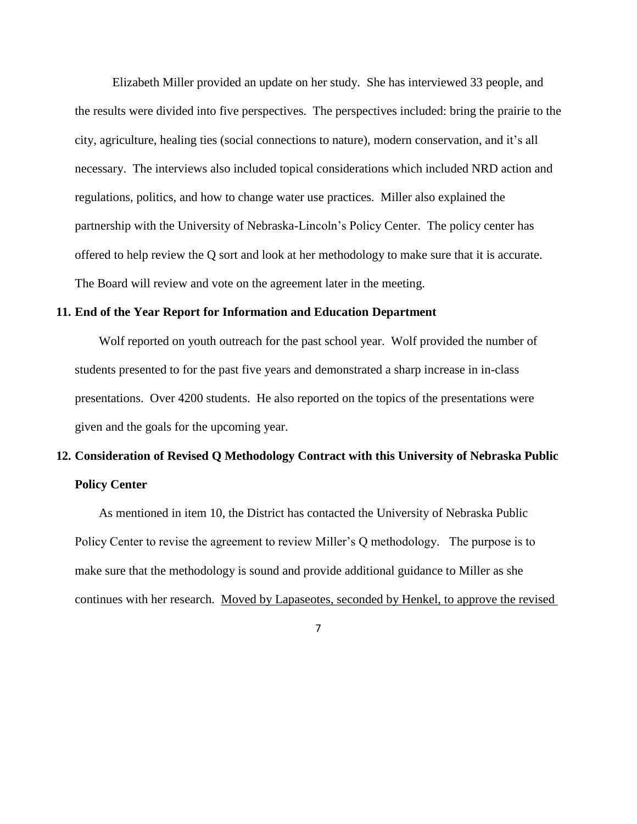Elizabeth Miller provided an update on her study. She has interviewed 33 people, and the results were divided into five perspectives. The perspectives included: bring the prairie to the city, agriculture, healing ties (social connections to nature), modern conservation, and it's all necessary. The interviews also included topical considerations which included NRD action and regulations, politics, and how to change water use practices. Miller also explained the partnership with the University of Nebraska-Lincoln's Policy Center. The policy center has offered to help review the Q sort and look at her methodology to make sure that it is accurate. The Board will review and vote on the agreement later in the meeting.

#### **11. End of the Year Report for Information and Education Department**

Wolf reported on youth outreach for the past school year. Wolf provided the number of students presented to for the past five years and demonstrated a sharp increase in in-class presentations. Over 4200 students. He also reported on the topics of the presentations were given and the goals for the upcoming year.

# **12. Consideration of Revised Q Methodology Contract with this University of Nebraska Public Policy Center**

As mentioned in item 10, the District has contacted the University of Nebraska Public Policy Center to revise the agreement to review Miller's Q methodology. The purpose is to make sure that the methodology is sound and provide additional guidance to Miller as she continues with her research. Moved by Lapaseotes, seconded by Henkel, to approve the revised